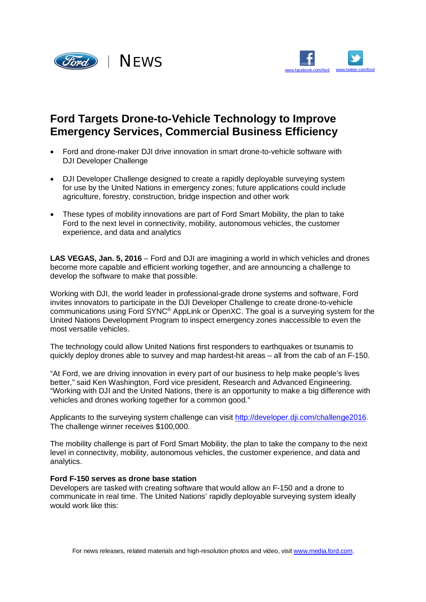



## **Ford Targets Drone-to-Vehicle Technology to Improve Emergency Services, Commercial Business Efficiency**

- Ford and drone-maker DJI drive innovation in smart drone-to-vehicle software with DJI Developer Challenge
- DJI Developer Challenge designed to create a rapidly deployable surveying system for use by the United Nations in emergency zones; future applications could include agriculture, forestry, construction, bridge inspection and other work
- These types of mobility innovations are part of Ford Smart Mobility, the plan to take Ford to the next level in connectivity, mobility, autonomous vehicles, the customer experience, and data and analytics

**LAS VEGAS, Jan. 5, 2016** – Ford and DJI are imagining a world in which vehicles and drones become more capable and efficient working together, and are announcing a challenge to develop the software to make that possible.

Working with DJI, the world leader in professional-grade drone systems and software, Ford invites innovators to participate in the DJI Developer Challenge to create drone-to-vehicle communications using Ford SYNC® AppLink or OpenXC. The goal is a surveying system for the United Nations Development Program to inspect emergency zones inaccessible to even the most versatile vehicles.

The technology could allow United Nations first responders to earthquakes or tsunamis to quickly deploy drones able to survey and map hardest-hit areas – all from the cab of an F-150.

"At Ford, we are driving innovation in every part of our business to help make people's lives better," said Ken Washington, Ford vice president, Research and Advanced Engineering. "Working with DJI and the United Nations, there is an opportunity to make a big difference with vehicles and drones working together for a common good."

Applicants to the surveying system challenge can visit <http://developer.dji.com/challenge2016.> The challenge winner receives \$100,000.

The mobility challenge is part of Ford Smart Mobility, the plan to take the company to the next level in connectivity, mobility, autonomous vehicles, the customer experience, and data and analytics.

## **Ford F-150 serves as drone base station**

Developers are tasked with creating software that would allow an F-150 and a drone to communicate in real time. The United Nations' rapidly deployable surveying system ideally would work like this: